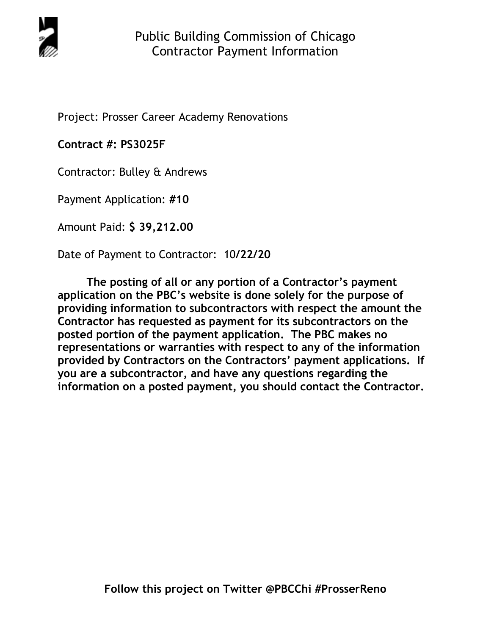

Project: Prosser Career Academy Renovations

**Contract #: PS3025F** 

Contractor: Bulley & Andrews

Payment Application: **#10** 

Amount Paid: **\$ 39,212.00** 

Date of Payment to Contractor: 10**/22/20** 

**The posting of all or any portion of a Contractor's payment application on the PBC's website is done solely for the purpose of providing information to subcontractors with respect the amount the Contractor has requested as payment for its subcontractors on the posted portion of the payment application. The PBC makes no representations or warranties with respect to any of the information provided by Contractors on the Contractors' payment applications. If you are a subcontractor, and have any questions regarding the information on a posted payment, you should contact the Contractor.**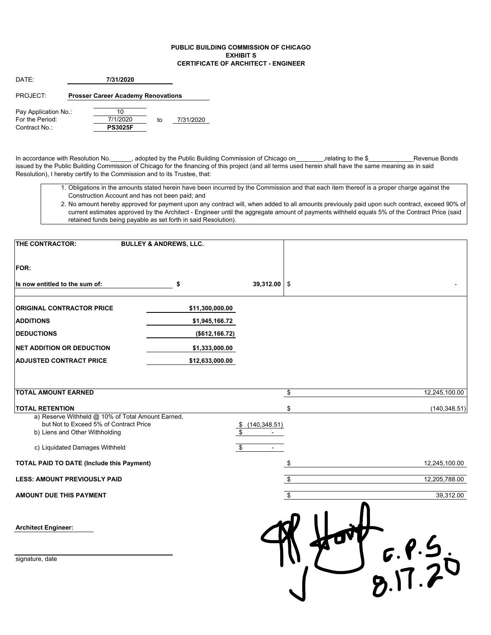## **PUBLIC BUILDING COMMISSION OF CHICAGO EXHIBIT S CERTIFICATE OF ARCHITECT - ENGINEER**

| DATF <sup>.</sup>                                        |  |                                           |    |           |
|----------------------------------------------------------|--|-------------------------------------------|----|-----------|
| PROJECT:                                                 |  | <b>Prosser Career Academy Renovations</b> |    |           |
| Pay Application No.:<br>For the Period:<br>Contract No : |  | 10<br>7/1/2020<br><b>PS3025F</b>          | to | 7/31/2020 |

In accordance with Resolution No.\_\_\_\_\_, adopted by the Public Building Commission of Chicago on\_\_\_\_\_\_\_\_,relating to the \$\_\_\_\_\_\_\_\_\_\_\_\_\_\_Revenue Bonds issued by the Public Building Commission of Chicago for the financing of this project (and all terms used herein shall have the same meaning as in said Resolution), I hereby certify to the Commission and to its Trustee, that:

- 1. Obligations in the amounts stated herein have been incurred by the Commission and that each item thereof is a proper charge against the Construction Account and has not been paid; and
- 2. No amount hereby approved for payment upon any contract will, when added to all amounts previously paid upon such contract, exceed 90% of current estimates approved by the Architect - Engineer until the aggregate amount of payments withheld equals 5% of the Contract Price (said retained funds being payable as set forth in said Resolution).

| THE CONTRACTOR:                                                                                                               | <b>BULLEY &amp; ANDREWS, LLC.</b> |                       |                     |
|-------------------------------------------------------------------------------------------------------------------------------|-----------------------------------|-----------------------|---------------------|
| <b>FOR:</b>                                                                                                                   |                                   |                       |                     |
| Is now entitled to the sum of:                                                                                                | \$                                | 39,312.00 \$          |                     |
| <b>ORIGINAL CONTRACTOR PRICE</b>                                                                                              | \$11,300,000.00                   |                       |                     |
| <b>ADDITIONS</b>                                                                                                              | \$1,945,166.72                    |                       |                     |
| <b>DEDUCTIONS</b>                                                                                                             | (\$612, 166.72)                   |                       |                     |
| <b>NET ADDITION OR DEDUCTION</b>                                                                                              | \$1,333,000.00                    |                       |                     |
| <b>ADJUSTED CONTRACT PRICE</b>                                                                                                | \$12,633,000.00                   |                       |                     |
|                                                                                                                               |                                   |                       |                     |
| <b>TOTAL AMOUNT EARNED</b>                                                                                                    |                                   |                       | \$<br>12,245,100.00 |
| <b>TOTAL RETENTION</b>                                                                                                        |                                   |                       | \$<br>(140, 348.51) |
| a) Reserve Withheld @ 10% of Total Amount Earned,<br>but Not to Exceed 5% of Contract Price<br>b) Liens and Other Withholding |                                   | \$(140, 348.51)<br>\$ |                     |
| c) Liquidated Damages Withheld                                                                                                |                                   | \$                    |                     |
| <b>TOTAL PAID TO DATE (Include this Payment)</b>                                                                              |                                   |                       | \$<br>12,245,100.00 |
| <b>LESS: AMOUNT PREVIOUSLY PAID</b>                                                                                           |                                   |                       | \$<br>12,205,788.00 |
| <b>AMOUNT DUE THIS PAYMENT</b>                                                                                                |                                   |                       | \$<br>39,312.00     |
| <b>Architect Engineer:</b>                                                                                                    |                                   |                       |                     |
| signature, date                                                                                                               |                                   |                       | $5920$<br>$31720$   |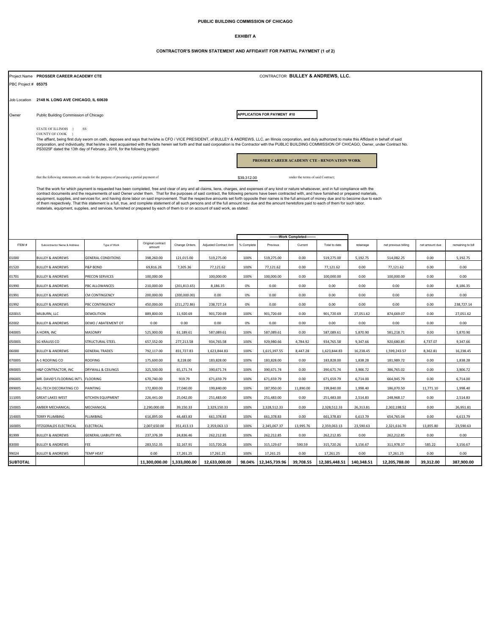### **PUBLIC BUILDING COMMISSION OF CHICAGO**

### **EXHIBIT A**

#### **CONTRACTOR'S SWORN STATEMENT AND AFFIDAVIT FOR PARTIAL PAYMENT (1 of 2)**

|                 |                                                                                                                                                                                                                                                                                                                                                                                                                                                                                                                       | CONTRACTOR BULLEY & ANDREWS, LLC.<br>Project Name PROSSER CAREER ACADEMY CTE                                                                                                                                                                                                                                                                                                                                   |                             |               |                       |             |               |                                   |               |            |                      |                |                   |
|-----------------|-----------------------------------------------------------------------------------------------------------------------------------------------------------------------------------------------------------------------------------------------------------------------------------------------------------------------------------------------------------------------------------------------------------------------------------------------------------------------------------------------------------------------|----------------------------------------------------------------------------------------------------------------------------------------------------------------------------------------------------------------------------------------------------------------------------------------------------------------------------------------------------------------------------------------------------------------|-----------------------------|---------------|-----------------------|-------------|---------------|-----------------------------------|---------------|------------|----------------------|----------------|-------------------|
|                 | PBC Project # 05375                                                                                                                                                                                                                                                                                                                                                                                                                                                                                                   |                                                                                                                                                                                                                                                                                                                                                                                                                |                             |               |                       |             |               |                                   |               |            |                      |                |                   |
|                 |                                                                                                                                                                                                                                                                                                                                                                                                                                                                                                                       |                                                                                                                                                                                                                                                                                                                                                                                                                |                             |               |                       |             |               |                                   |               |            |                      |                |                   |
|                 | Job Location 2148 N. LONG AVE CHICAGO, IL 60639                                                                                                                                                                                                                                                                                                                                                                                                                                                                       |                                                                                                                                                                                                                                                                                                                                                                                                                |                             |               |                       |             |               |                                   |               |            |                      |                |                   |
| Owner           |                                                                                                                                                                                                                                                                                                                                                                                                                                                                                                                       |                                                                                                                                                                                                                                                                                                                                                                                                                |                             |               |                       |             |               |                                   |               |            |                      |                |                   |
|                 | Public Building Commission of Chicago                                                                                                                                                                                                                                                                                                                                                                                                                                                                                 |                                                                                                                                                                                                                                                                                                                                                                                                                | APPLICATION FOR PAYMENT #10 |               |                       |             |               |                                   |               |            |                      |                |                   |
|                 | STATE OF ILLINOIS }<br><b>SS</b>                                                                                                                                                                                                                                                                                                                                                                                                                                                                                      |                                                                                                                                                                                                                                                                                                                                                                                                                |                             |               |                       |             |               |                                   |               |            |                      |                |                   |
|                 | COUNTY OF COOK }                                                                                                                                                                                                                                                                                                                                                                                                                                                                                                      |                                                                                                                                                                                                                                                                                                                                                                                                                |                             |               |                       |             |               |                                   |               |            |                      |                |                   |
|                 | The affiant, being first duly sworn on oath, deposes and says that he/she is CFO / VICE PRESIDENT, of BULLEY & ANDREWS, LLC, an Illinois corporation, and duly authorized to make this Affidavit in behalf of said<br>corporation, and individually; that he/she is well acquainted with the facts herein set forth and that said corporation is the Contractor with the PUBLIC BUILDING COMMISSION OF CHICAGO, Owner, under Contract No.<br>PS3025F dated the 13th day of February, 2019, for the following project: |                                                                                                                                                                                                                                                                                                                                                                                                                |                             |               |                       |             |               |                                   |               |            |                      |                |                   |
|                 |                                                                                                                                                                                                                                                                                                                                                                                                                                                                                                                       |                                                                                                                                                                                                                                                                                                                                                                                                                |                             |               |                       |             |               |                                   |               |            |                      |                |                   |
|                 | PROSSER CAREER ACADEMY CTE - RENOVATION WORK                                                                                                                                                                                                                                                                                                                                                                                                                                                                          |                                                                                                                                                                                                                                                                                                                                                                                                                |                             |               |                       |             |               |                                   |               |            |                      |                |                   |
|                 |                                                                                                                                                                                                                                                                                                                                                                                                                                                                                                                       |                                                                                                                                                                                                                                                                                                                                                                                                                |                             |               |                       |             |               |                                   |               |            |                      |                |                   |
|                 |                                                                                                                                                                                                                                                                                                                                                                                                                                                                                                                       | that the following statements are made for the purpose of procuring a partial payment of                                                                                                                                                                                                                                                                                                                       |                             |               |                       | \$39,312.00 |               | under the terms of said Contract; |               |            |                      |                |                   |
|                 |                                                                                                                                                                                                                                                                                                                                                                                                                                                                                                                       | That the work for which payment is requested has been completed, free and clear of any and all claims, liens, charges, and expenses of any kind or nature whatsoever, and in full compliance with the                                                                                                                                                                                                          |                             |               |                       |             |               |                                   |               |            |                      |                |                   |
|                 |                                                                                                                                                                                                                                                                                                                                                                                                                                                                                                                       | contract documents and the requirements of said Owner under them. That for the purposes of said contract, the following persons have been contracted with, and have furnished or prepared materials,<br>equipment, supplies, and services for, and having done labor on said improvement. That the respective amounts set forth opposite their names is the full amount of money due and to become due to each |                             |               |                       |             |               |                                   |               |            |                      |                |                   |
|                 |                                                                                                                                                                                                                                                                                                                                                                                                                                                                                                                       | of them respectively. That this statement is a full, true, and complete statement of all such persons and of the full amount now due and the amount heretofore paid to each of them for such labor,<br>materials, equipment, supplies, and services, furnished or prepared by each of them to or on account of said work, as stated:                                                                           |                             |               |                       |             |               |                                   |               |            |                      |                |                   |
|                 |                                                                                                                                                                                                                                                                                                                                                                                                                                                                                                                       |                                                                                                                                                                                                                                                                                                                                                                                                                |                             |               |                       |             |               |                                   |               |            |                      |                |                   |
|                 |                                                                                                                                                                                                                                                                                                                                                                                                                                                                                                                       |                                                                                                                                                                                                                                                                                                                                                                                                                |                             |               |                       |             |               |                                   |               |            |                      |                |                   |
|                 |                                                                                                                                                                                                                                                                                                                                                                                                                                                                                                                       |                                                                                                                                                                                                                                                                                                                                                                                                                |                             |               |                       |             |               |                                   |               |            |                      |                |                   |
|                 |                                                                                                                                                                                                                                                                                                                                                                                                                                                                                                                       |                                                                                                                                                                                                                                                                                                                                                                                                                | Original contract           |               |                       |             |               | --Work Completed----              |               |            |                      |                |                   |
| ITEM#           | Subcontractor Name & Address                                                                                                                                                                                                                                                                                                                                                                                                                                                                                          | Type of Work                                                                                                                                                                                                                                                                                                                                                                                                   | amount                      | Change Orders | Adjusted Contract Amt | % Complet   | Previous      | Current                           | Total to date | retainage  | net previous billing | net amount due | remaining to bill |
| 1000            | <b>BULLEY &amp; ANDREWS</b>                                                                                                                                                                                                                                                                                                                                                                                                                                                                                           | <b>GENERAL CONDITIONS</b>                                                                                                                                                                                                                                                                                                                                                                                      | 398,260.00                  | 121,015.00    | 519,275.00            | 100%        | 519,275.00    | 0.00                              | 519,275.00    | 5,192.75   | 514,082.25           | 0.00           | 5,192.75          |
| 01520           | <b>BULLEY &amp; ANDREWS</b>                                                                                                                                                                                                                                                                                                                                                                                                                                                                                           | P&P BOND                                                                                                                                                                                                                                                                                                                                                                                                       | 69,816.26                   | 7,305.36      | 77,121.62             | 100%        | 77,121.62     | 0.00                              | 77,121.62     | 0.00       | 77,121.62            | 0.00           | 0.00              |
| 01701           | <b>BULLEY &amp; ANDREWS</b>                                                                                                                                                                                                                                                                                                                                                                                                                                                                                           | PRECON SERVICES                                                                                                                                                                                                                                                                                                                                                                                                | 100,000.00                  |               | 100,000.00            | 100%        | 100,000.00    | 0.00                              | 100,000.00    | 0.00       | 100,000.00           | 0.00           | 0.00              |
| 01990           | <b>BULLEY &amp; ANDREWS</b>                                                                                                                                                                                                                                                                                                                                                                                                                                                                                           | PBC ALLOWANCES                                                                                                                                                                                                                                                                                                                                                                                                 | 210,000.00                  | (201, 813.65) | 8,186.35              | 0%          | 0.00          | 0.00                              | 0.00          | 0.00       | 0.00                 | 0.00           | 8,186.35          |
| 01991           | <b>BULLEY &amp; ANDREWS</b>                                                                                                                                                                                                                                                                                                                                                                                                                                                                                           | <b>CM CONTINGENCY</b>                                                                                                                                                                                                                                                                                                                                                                                          | 200,000.00                  | (200,000.00)  | 0.00                  | 0%          | 0.00          | 0.00                              | 0.00          | 0.00       | 0.00                 | 0.00           | 0.00              |
| 01992           | <b>BULLEY &amp; ANDREWS</b>                                                                                                                                                                                                                                                                                                                                                                                                                                                                                           | PBC CONTINGENCY                                                                                                                                                                                                                                                                                                                                                                                                | 450,000.00                  | (211, 272.86) | 238,727.14            | 0%          | 0.00          | 0.00                              | 0.00          | 0.00       | 0.00                 | 0.00           | 238,727.14        |
| 020015          | MILBURN, LLC                                                                                                                                                                                                                                                                                                                                                                                                                                                                                                          | DEMOLITION                                                                                                                                                                                                                                                                                                                                                                                                     | 889,800.00                  | 11,920.69     | 901,720.69            | 100%        | 901,720.69    | 0.00                              | 901,720.69    | 27,051.62  | 874,669.07           | 0.00           | 27,051.62         |
| 02002           | <b>BULLEY &amp; ANDREWS</b>                                                                                                                                                                                                                                                                                                                                                                                                                                                                                           | DEMO / ABATEMENT OT                                                                                                                                                                                                                                                                                                                                                                                            | 0.00                        | 0.00          | 0.00                  | 0%          | 0.00          | 0.00                              | 0.00          | 0.00       | 0.00                 | 0.00           | 0.00              |
| 04000S          | <b>HORN, INC</b>                                                                                                                                                                                                                                                                                                                                                                                                                                                                                                      | MASONRY                                                                                                                                                                                                                                                                                                                                                                                                        | 525,900.00                  | 61,189.61     | 587,089.61            | 100%        | 587,089.61    | 0.00                              | 587,089.61    | 5,870.90   | 581,218.71           | 0.00           | 5,870.90          |
| 05000S          | <b>SG KRAUSS CO</b>                                                                                                                                                                                                                                                                                                                                                                                                                                                                                                   | STRUCTURAL STEEL                                                                                                                                                                                                                                                                                                                                                                                               | 657,552.00                  | 277,213.58    | 934,765.58            | 100%        | 929,980.66    | 4,784.92                          | 934,765.58    | 9,347.66   | 920,680.85           | 4,737.07       | 9,347.66          |
| 00060           | <b>BULLEY &amp; ANDREWS</b>                                                                                                                                                                                                                                                                                                                                                                                                                                                                                           | <b>GENERAL TRADES</b>                                                                                                                                                                                                                                                                                                                                                                                          | 792,117.00                  | 831,727.83    | 1,623,844.83          | 100%        | 1,615,397.55  | 8,447.28                          | 1,623,844.83  | 16,238.45  | 1,599,243.57         | 8,362.81       | 16,238.45         |
|                 |                                                                                                                                                                                                                                                                                                                                                                                                                                                                                                                       | <b>ROOFING</b>                                                                                                                                                                                                                                                                                                                                                                                                 | 175,600.00                  |               | 183,828.00            | 100%        |               |                                   | 183,828.00    |            |                      | 0.00           |                   |
| 07000S          | 1-1 ROOFING CO                                                                                                                                                                                                                                                                                                                                                                                                                                                                                                        |                                                                                                                                                                                                                                                                                                                                                                                                                |                             | 8,228.00      |                       |             | 183,828.00    | 0.00                              |               | 1,838.28   | 181,989.72           |                | 1,838.28          |
| 09000S          | <b>1&amp;P CONTRACTOR, INC</b>                                                                                                                                                                                                                                                                                                                                                                                                                                                                                        | DRYWALL & CEILINGS                                                                                                                                                                                                                                                                                                                                                                                             | 325,500.00                  | 65,171.74     | 390,671.74            | 100%        | 390,671.74    | 0.00                              | 390,671.74    | 3,906.72   | 386,765.02           | 0.00           | 3,906.72          |
| 09600S          | VR. DAVID'S FLOORING INT'L                                                                                                                                                                                                                                                                                                                                                                                                                                                                                            | <b>FLOORING</b>                                                                                                                                                                                                                                                                                                                                                                                                | 670,740.00                  | 919.79        | 671,659.79            | 100%        | 671,659.79    | 0.00                              | 671,659.79    | 6,714.00   | 664,945.79           | 0.00           | 6,714.00          |
| 09900S          | ALL-TECH DECORATING CO                                                                                                                                                                                                                                                                                                                                                                                                                                                                                                | PAINTING                                                                                                                                                                                                                                                                                                                                                                                                       | 172,800.00                  | 27,040.00     | 199,840.00            | 100%        | 187,950.00    | 11,890.00                         | 199,840.00    | 1,998.40   | 186,070.50           | 11,771.10      | 1,998.40          |
| 11100S          | <b>GREAT LAKES WEST</b>                                                                                                                                                                                                                                                                                                                                                                                                                                                                                               | KITCHEN EQUIPMENT                                                                                                                                                                                                                                                                                                                                                                                              | 226,441.00                  | 25,042.00     | 251,483.00            | 100%        | 251,483.00    | 0.00                              | 251,483.00    | 2,514.83   | 248,968.17           | 0.00           | 2,514.83          |
| 15000S          | AMBER MECHANICAL                                                                                                                                                                                                                                                                                                                                                                                                                                                                                                      | MECHANICAL                                                                                                                                                                                                                                                                                                                                                                                                     | 2,290,000.00                | 39,150.33     | 2,329,150.33          | 100%        | 2,328,512.33  | 0.00                              | 2,328,512.33  | 26,313.81  | 2,302,198.52         | 0.00           | 26,951.81         |
| 15400S          | <b>TERRY PLUMBING</b>                                                                                                                                                                                                                                                                                                                                                                                                                                                                                                 | PLUMBING                                                                                                                                                                                                                                                                                                                                                                                                       | 616,895.00                  | 44,483.83     | 661,378.83            | 100%        | 661,378.83    | 0.00                              | 661,378.83    | 6,613.79   | 654,765.04           | 0.00           | 6,613.79          |
| 16000S          | FITZGERALDS ELECTRICAL                                                                                                                                                                                                                                                                                                                                                                                                                                                                                                | ELECTRICAL                                                                                                                                                                                                                                                                                                                                                                                                     | 2,007,650.00                | 351,413.13    | 2,359,063.13          | 100%        | 2,345,067.37  | 13,995.76                         | 2,359,063.13  | 23,590.63  | 2,321,616.70         | 13,855.80      | 23,590.63         |
| 81999           | <b>BULLEY &amp; ANDREWS</b>                                                                                                                                                                                                                                                                                                                                                                                                                                                                                           | <b>GENERAL LIABILITY INS.</b>                                                                                                                                                                                                                                                                                                                                                                                  | 237,376.39                  | 24,836.46     | 262,212.85            | 100%        | 262,212.85    | 0.00                              | 262,212.85    | 0.00       | 262,212.85           | 0.00           | 0.00              |
| 83000           | <b>BULLEY &amp; ANDREWS</b>                                                                                                                                                                                                                                                                                                                                                                                                                                                                                           | FEE                                                                                                                                                                                                                                                                                                                                                                                                            | 283,552.35                  | 32,167.91     | 315,720.26            | 100%        | 315,129.67    | 590.59                            | 315,720.26    | 3,156.67   | 311,978.37           | 585.22         | 3,156.67          |
| 99024           | <b>BULLEY &amp; ANDREWS</b>                                                                                                                                                                                                                                                                                                                                                                                                                                                                                           | <b>TEMP HEAT</b>                                                                                                                                                                                                                                                                                                                                                                                               | 0.00                        | 17,261.25     | 17,261.25             | 100%        | 17,261.25     | 0.00                              | 17,261.25     | 0.00       | 17,261.25            | 0.00           | 0.00              |
| <b>SUBTOTAL</b> |                                                                                                                                                                                                                                                                                                                                                                                                                                                                                                                       |                                                                                                                                                                                                                                                                                                                                                                                                                | 11.300.000.00 1.333.000.00  |               | 12.633.000.00         | 98.04%      | 12.345.739.96 | 39,708.55                         | 12.385.448.51 | 140.348.51 | 12.205.788.00        | 39.312.00      | 387.900.00        |